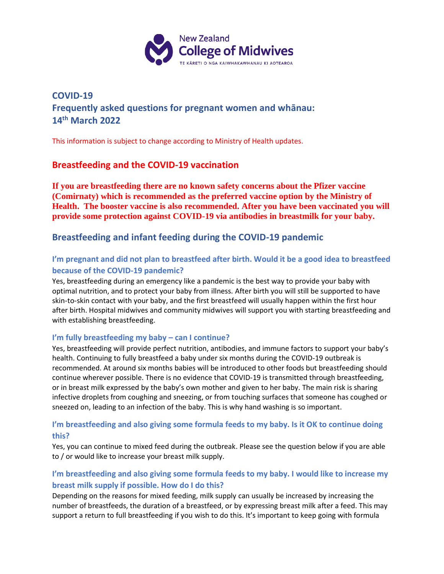

# **COVID-19 Frequently asked questions for pregnant women and whānau: 14th March 2022**

This information is subject to change according to Ministry of Health updates.

# **Breastfeeding and the COVID-19 vaccination**

**If you are breastfeeding there are no known safety concerns about the Pfizer vaccine (Comirnaty) which is recommended as the preferred vaccine option by the Ministry of Health. The booster vaccine is also recommended. After you have been vaccinated you will provide some protection against COVID-19 via antibodies in breastmilk for your baby.**

# **Breastfeeding and infant feeding during the COVID-19 pandemic**

# **I'm pregnant and did not plan to breastfeed after birth. Would it be a good idea to breastfeed because of the COVID-19 pandemic?**

Yes, breastfeeding during an emergency like a pandemic is the best way to provide your baby with optimal nutrition, and to protect your baby from illness. After birth you will still be supported to have skin-to-skin contact with your baby, and the first breastfeed will usually happen within the first hour after birth. Hospital midwives and community midwives will support you with starting breastfeeding and with establishing breastfeeding.

### **I'm fully breastfeeding my baby – can I continue?**

Yes, breastfeeding will provide perfect nutrition, antibodies, and immune factors to support your baby's health. Continuing to fully breastfeed a baby under six months during the COVID-19 outbreak is recommended. At around six months babies will be introduced to other foods but breastfeeding should continue wherever possible. There is no evidence that COVID-19 is transmitted through breastfeeding, or in breast milk expressed by the baby's own mother and given to her baby. The main risk is sharing infective droplets from coughing and sneezing, or from touching surfaces that someone has coughed or sneezed on, leading to an infection of the baby. This is why hand washing is so important.

### **I'm breastfeeding and also giving some formula feeds to my baby. Is it OK to continue doing this?**

Yes, you can continue to mixed feed during the outbreak. Please see the question below if you are able to / or would like to increase your breast milk supply.

# **I'm breastfeeding and also giving some formula feeds to my baby. I would like to increase my breast milk supply if possible. How do I do this?**

Depending on the reasons for mixed feeding, milk supply can usually be increased by increasing the number of breastfeeds, the duration of a breastfeed, or by expressing breast milk after a feed. This may support a return to full breastfeeding if you wish to do this. It's important to keep going with formula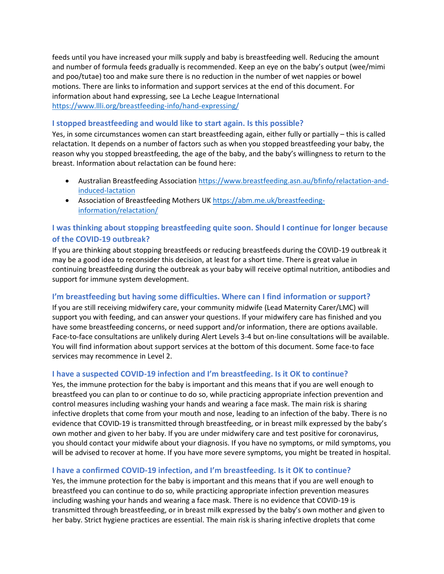feeds until you have increased your milk supply and baby is breastfeeding well. Reducing the amount and number of formula feeds gradually is recommended. Keep an eye on the baby's output (wee/mimi and poo/tutae) too and make sure there is no reduction in the number of wet nappies or bowel motions. There are links to information and support services at the end of this document. For information about hand expressing, see La Leche League International <https://www.llli.org/breastfeeding-info/hand-expressing/>

### **I stopped breastfeeding and would like to start again. Is this possible?**

Yes, in some circumstances women can start breastfeeding again, either fully or partially – this is called relactation. It depends on a number of factors such as when you stopped breastfeeding your baby, the reason why you stopped breastfeeding, the age of the baby, and the baby's willingness to return to the breast. Information about relactation can be found here:

- Australian Breastfeeding Association [https://www.breastfeeding.asn.au/bfinfo/relactation-and](https://www.breastfeeding.asn.au/bfinfo/relactation-and-induced-lactation)[induced-lactation](https://www.breastfeeding.asn.au/bfinfo/relactation-and-induced-lactation)
- Association of Breastfeeding Mothers UK [https://abm.me.uk/breastfeeding](https://abm.me.uk/breastfeeding-information/relactation/)[information/relactation/](https://abm.me.uk/breastfeeding-information/relactation/)

## **I was thinking about stopping breastfeeding quite soon. Should I continue for longer because of the COVID-19 outbreak?**

If you are thinking about stopping breastfeeds or reducing breastfeeds during the COVID-19 outbreak it may be a good idea to reconsider this decision, at least for a short time. There is great value in continuing breastfeeding during the outbreak as your baby will receive optimal nutrition, antibodies and support for immune system development.

### **I'm breastfeeding but having some difficulties. Where can I find information or support?**

If you are still receiving midwifery care, your community midwife (Lead Maternity Carer/LMC) will support you with feeding, and can answer your questions. If your midwifery care has finished and you have some breastfeeding concerns, or need support and/or information, there are options available. Face-to-face consultations are unlikely during Alert Levels 3-4 but on-line consultations will be available. You will find information about support services at the bottom of this document. Some face-to face services may recommence in Level 2.

#### **I have a suspected COVID-19 infection and I'm breastfeeding. Is it OK to continue?**

Yes, the immune protection for the baby is important and this means that if you are well enough to breastfeed you can plan to or continue to do so, while practicing appropriate infection prevention and control measures including washing your hands and wearing a face mask. The main risk is sharing infective droplets that come from your mouth and nose, leading to an infection of the baby. There is no evidence that COVID-19 is transmitted through breastfeeding, or in breast milk expressed by the baby's own mother and given to her baby. If you are under midwifery care and test positive for coronavirus, you should contact your midwife about your diagnosis. If you have no symptoms, or mild symptoms, you will be advised to recover at home. If you have more severe symptoms, you might be treated in hospital.

### **I have a confirmed COVID-19 infection, and I'm breastfeeding. Is it OK to continue?**

Yes, the immune protection for the baby is important and this means that if you are well enough to breastfeed you can continue to do so, while practicing appropriate infection prevention measures including washing your hands and wearing a face mask. There is no evidence that COVID-19 is transmitted through breastfeeding, or in breast milk expressed by the baby's own mother and given to her baby. Strict hygiene practices are essential. The main risk is sharing infective droplets that come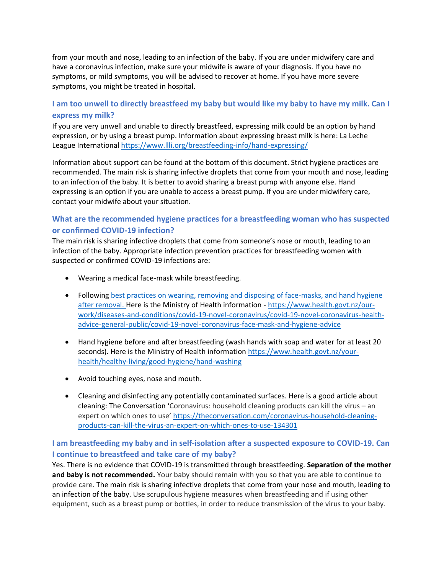from your mouth and nose, leading to an infection of the baby. If you are under midwifery care and have a coronavirus infection, make sure your midwife is aware of your diagnosis. If you have no symptoms, or mild symptoms, you will be advised to recover at home. If you have more severe symptoms, you might be treated in hospital.

# **I am too unwell to directly breastfeed my baby but would like my baby to have my milk. Can I express my milk?**

If you are very unwell and unable to directly breastfeed, expressing milk could be an option by hand expression, or by using a breast pump. Information about expressing breast milk is here: La Leche League International<https://www.llli.org/breastfeeding-info/hand-expressing/>

Information about support can be found at the bottom of this document. Strict hygiene practices are recommended. The main risk is sharing infective droplets that come from your mouth and nose, leading to an infection of the baby. It is better to avoid sharing a breast pump with anyone else. Hand expressing is an option if you are unable to access a breast pump. If you are under midwifery care, contact your midwife about your situation.

# **What are the recommended hygiene practices for a breastfeeding woman who has suspected or confirmed COVID-19 infection?**

The main risk is sharing infective droplets that come from someone's nose or mouth, leading to an infection of the baby. Appropriate infection prevention practices for breastfeeding women with suspected or confirmed COVID-19 infections are:

- Wearing a medical face-mask while breastfeeding.
- Following best practices on wearing, removing and disposing of [face-masks,](file:///C:/Users/claire.m/AppData/Local/Microsoft/Windows/INetCache/Content.Outlook/Y52GC2UU/best%20practices%20on%20wearing,%20removing%20and%20disposing%20of%20face-masks,%20and%20hand%20hygiene%20after%20removal) and hand hygiene after [removal.](file:///C:/Users/claire.m/AppData/Local/Microsoft/Windows/INetCache/Content.Outlook/Y52GC2UU/best%20practices%20on%20wearing,%20removing%20and%20disposing%20of%20face-masks,%20and%20hand%20hygiene%20after%20removal) Here is the Ministry of Health information - [https://www.health.govt.nz/our](https://www.health.govt.nz/our-work/diseases-and-conditions/covid-19-novel-coronavirus/covid-19-novel-coronavirus-health-advice-general-public/covid-19-novel-coronavirus-face-mask-and-hygiene-advice)[work/diseases-and-conditions/covid-19-novel-coronavirus/covid-19-novel-coronavirus-health](https://www.health.govt.nz/our-work/diseases-and-conditions/covid-19-novel-coronavirus/covid-19-novel-coronavirus-health-advice-general-public/covid-19-novel-coronavirus-face-mask-and-hygiene-advice)[advice-general-public/covid-19-novel-coronavirus-face-mask-and-hygiene-advice](https://www.health.govt.nz/our-work/diseases-and-conditions/covid-19-novel-coronavirus/covid-19-novel-coronavirus-health-advice-general-public/covid-19-novel-coronavirus-face-mask-and-hygiene-advice)
- Hand hygiene before and after breastfeeding (wash hands with soap and water for at least 20 seconds). Here is the Ministry of Health information [https://www.health.govt.nz/your](https://www.health.govt.nz/your-health/healthy-living/good-hygiene/hand-washing)[health/healthy-living/good-hygiene/hand-washing](https://www.health.govt.nz/your-health/healthy-living/good-hygiene/hand-washing)
- Avoid touching eyes, nose and mouth.
- Cleaning and disinfecting any potentially contaminated surfaces. Here is a good article about cleaning: The Conversation 'Coronavirus: household cleaning products can kill the virus – an expert on which ones to use' [https://theconversation.com/coronavirus-household-cleaning](https://theconversation.com/coronavirus-household-cleaning-products-can-kill-the-virus-an-expert-on-which-ones-to-use-134301)[products-can-kill-the-virus-an-expert-on-which-ones-to-use-134301](https://theconversation.com/coronavirus-household-cleaning-products-can-kill-the-virus-an-expert-on-which-ones-to-use-134301)

# **I am breastfeeding my baby and in self-isolation after a suspected exposure to COVID-19. Can I continue to breastfeed and take care of my baby?**

Yes. There is no evidence that COVID-19 is transmitted through breastfeeding. **Separation of the mother**  and baby is not recommended. Your baby should remain with you so that you are able to continue to provide care. The main risk is sharing infective droplets that come from your nose and mouth, leading to an infection of the baby. Use scrupulous hygiene measures when breastfeeding and if using other equipment, such as a breast pump or bottles, in order to reduce transmission of the virus to your baby.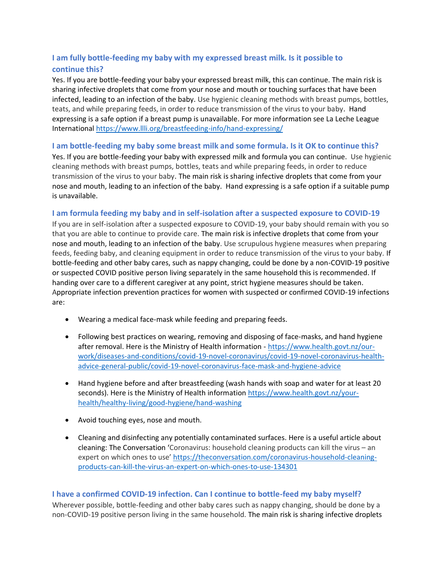# **I am fully bottle-feeding my baby with my expressed breast milk. Is it possible to continue this?**

Yes. If you are bottle-feeding your baby your expressed breast milk, this can continue. The main risk is sharing infective droplets that come from your nose and mouth or touching surfaces that have been infected, leading to an infection of the baby. Use hygienic cleaning methods with breast pumps, bottles, teats, and while preparing feeds, in order to reduce transmission of the virus to your baby. Hand expressing is a safe option if a breast pump is unavailable. For more information see La Leche League Internationa[l https://www.llli.org/breastfeeding-info/hand-expressing/](https://www.llli.org/breastfeeding-info/hand-expressing/)

## **I am bottle-feeding my baby some breast milk and some formula. Is it OK to continue this?**

Yes. If you are bottle-feeding your baby with expressed milk and formula you can continue. Use hygienic cleaning methods with breast pumps, bottles, teats and while preparing feeds, in order to reduce transmission of the virus to your baby. The main risk is sharing infective droplets that come from your nose and mouth, leading to an infection of the baby. Hand expressing is a safe option if a suitable pump is unavailable.

### **I am formula feeding my baby and in self-isolation after a suspected exposure to COVID-19**

If you are in self-isolation after a suspected exposure to COVID-19, your baby should remain with you so that you are able to continue to provide care. The main risk is infective droplets that come from your nose and mouth, leading to an infection of the baby. Use scrupulous hygiene measures when preparing feeds, feeding baby, and cleaning equipment in order to reduce transmission of the virus to your baby. If bottle-feeding and other baby cares, such as nappy changing, could be done by a non-COVID-19 positive or suspected COVID positive person living separately in the same household this is recommended. If handing over care to a different caregiver at any point, strict hygiene measures should be taken. Appropriate infection prevention practices for women with suspected or confirmed COVID-19 infections are:

- Wearing a medical face-mask while feeding and preparing feeds.
- Following best practices on wearing, removing and disposing of [face-masks,](https://www.who.int/publications-detail/advice-on-the-use-of-masks-the-community-during-home-care-and-in-health-care-settings-in-the-context-of-the-novel-coronavirus-(2019-ncov)-outbreak) and hand hygiene after [removal.](https://www.who.int/publications-detail/advice-on-the-use-of-masks-the-community-during-home-care-and-in-health-care-settings-in-the-context-of-the-novel-coronavirus-(2019-ncov)-outbreak) Here is the Ministry of Health information - [https://www.health.govt.nz/our](https://www.health.govt.nz/our-work/diseases-and-conditions/covid-19-novel-coronavirus/covid-19-novel-coronavirus-health-advice-general-public/covid-19-novel-coronavirus-face-mask-and-hygiene-advice)[work/diseases-and-conditions/covid-19-novel-coronavirus/covid-19-novel-coronavirus-health](https://www.health.govt.nz/our-work/diseases-and-conditions/covid-19-novel-coronavirus/covid-19-novel-coronavirus-health-advice-general-public/covid-19-novel-coronavirus-face-mask-and-hygiene-advice)[advice-general-public/covid-19-novel-coronavirus-face-mask-and-hygiene-advice](https://www.health.govt.nz/our-work/diseases-and-conditions/covid-19-novel-coronavirus/covid-19-novel-coronavirus-health-advice-general-public/covid-19-novel-coronavirus-face-mask-and-hygiene-advice)
- Hand hygiene before and after breastfeeding (wash hands with soap and water for at least 20 seconds). Here is the Ministry of Health information [https://www.health.govt.nz/your](https://www.health.govt.nz/your-health/healthy-living/good-hygiene/hand-washing)[health/healthy-living/good-hygiene/hand-washing](https://www.health.govt.nz/your-health/healthy-living/good-hygiene/hand-washing)
- Avoid touching eyes, nose and mouth.
- Cleaning and disinfecting any potentially contaminated surfaces. Here is a useful article about cleaning: The Conversation 'Coronavirus: household cleaning products can kill the virus – an expert on which ones to use' [https://theconversation.com/coronavirus-household-cleaning](https://theconversation.com/coronavirus-household-cleaning-products-can-kill-the-virus-an-expert-on-which-ones-to-use-134301)[products-can-kill-the-virus-an-expert-on-which-ones-to-use-134301](https://theconversation.com/coronavirus-household-cleaning-products-can-kill-the-virus-an-expert-on-which-ones-to-use-134301)

### **I have a confirmed COVID-19 infection. Can I continue to bottle-feed my baby myself?**

Wherever possible, bottle-feeding and other baby cares such as nappy changing, should be done by a non-COVID-19 positive person living in the same household. The main risk is sharing infective droplets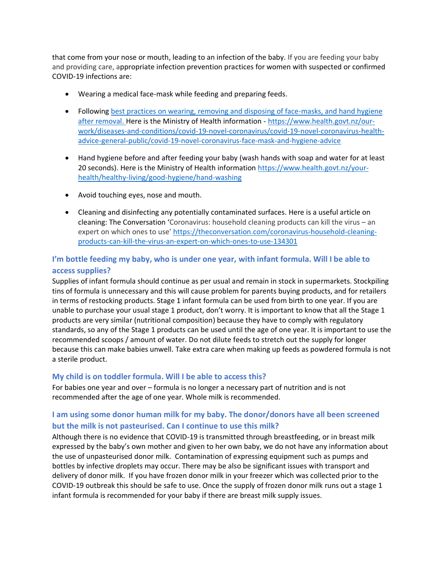that come from your nose or mouth, leading to an infection of the baby. If you are feeding your baby and providing care, appropriate infection prevention practices for women with suspected or confirmed COVID-19 infections are:

- Wearing a medical face-mask while feeding and preparing feeds.
- Following best practices on wearing, removing and disposing of [face-masks,](file:///C:/Users/claire.m/AppData/Local/Microsoft/Windows/INetCache/Content.Outlook/Y52GC2UU/best%20practices%20on%20wearing,%20removing%20and%20disposing%20of%20face-masks,%20and%20hand%20hygiene%20after%20removal) and hand hygiene after [removal.](file:///C:/Users/claire.m/AppData/Local/Microsoft/Windows/INetCache/Content.Outlook/Y52GC2UU/best%20practices%20on%20wearing,%20removing%20and%20disposing%20of%20face-masks,%20and%20hand%20hygiene%20after%20removal) Here is the Ministry of Health information - [https://www.health.govt.nz/our](https://www.health.govt.nz/our-work/diseases-and-conditions/covid-19-novel-coronavirus/covid-19-novel-coronavirus-health-advice-general-public/covid-19-novel-coronavirus-face-mask-and-hygiene-advice)[work/diseases-and-conditions/covid-19-novel-coronavirus/covid-19-novel-coronavirus-health](https://www.health.govt.nz/our-work/diseases-and-conditions/covid-19-novel-coronavirus/covid-19-novel-coronavirus-health-advice-general-public/covid-19-novel-coronavirus-face-mask-and-hygiene-advice)[advice-general-public/covid-19-novel-coronavirus-face-mask-and-hygiene-advice](https://www.health.govt.nz/our-work/diseases-and-conditions/covid-19-novel-coronavirus/covid-19-novel-coronavirus-health-advice-general-public/covid-19-novel-coronavirus-face-mask-and-hygiene-advice)
- Hand hygiene before and after feeding your baby (wash hands with soap and water for at least 20 seconds). Here is the Ministry of Health information [https://www.health.govt.nz/your](https://www.health.govt.nz/your-health/healthy-living/good-hygiene/hand-washing)[health/healthy-living/good-hygiene/hand-washing](https://www.health.govt.nz/your-health/healthy-living/good-hygiene/hand-washing)
- Avoid touching eyes, nose and mouth.
- Cleaning and disinfecting any potentially contaminated surfaces. Here is a useful article on cleaning: The Conversation 'Coronavirus: household cleaning products can kill the virus – an expert on which ones to use' [https://theconversation.com/coronavirus-household-cleaning](https://theconversation.com/coronavirus-household-cleaning-products-can-kill-the-virus-an-expert-on-which-ones-to-use-134301)[products-can-kill-the-virus-an-expert-on-which-ones-to-use-134301](https://theconversation.com/coronavirus-household-cleaning-products-can-kill-the-virus-an-expert-on-which-ones-to-use-134301)

# **I'm bottle feeding my baby, who is under one year, with infant formula. Will I be able to access supplies?**

Supplies of infant formula should continue as per usual and remain in stock in supermarkets. Stockpiling tins of formula is unnecessary and this will cause problem for parents buying products, and for retailers in terms of restocking products. Stage 1 infant formula can be used from birth to one year. If you are unable to purchase your usual stage 1 product, don't worry. It is important to know that all the Stage 1 products are very similar (nutritional composition) because they have to comply with regulatory standards, so any of the Stage 1 products can be used until the age of one year. It is important to use the recommended scoops / amount of water. Do not dilute feeds to stretch out the supply for longer because this can make babies unwell. Take extra care when making up feeds as powdered formula is not a sterile product.

### **My child is on toddler formula. Will I be able to access this?**

For babies one year and over – formula is no longer a necessary part of nutrition and is not recommended after the age of one year. Whole milk is recommended.

# **I am using some donor human milk for my baby. The donor/donors have all been screened but the milk is not pasteurised. Can I continue to use this milk?**

Although there is no evidence that COVID-19 is transmitted through breastfeeding, or in breast milk expressed by the baby's own mother and given to her own baby, we do not have any information about the use of unpasteurised donor milk. Contamination of expressing equipment such as pumps and bottles by infective droplets may occur. There may be also be significant issues with transport and delivery of donor milk. If you have frozen donor milk in your freezer which was collected prior to the COVID-19 outbreak this should be safe to use. Once the supply of frozen donor milk runs out a stage 1 infant formula is recommended for your baby if there are breast milk supply issues.